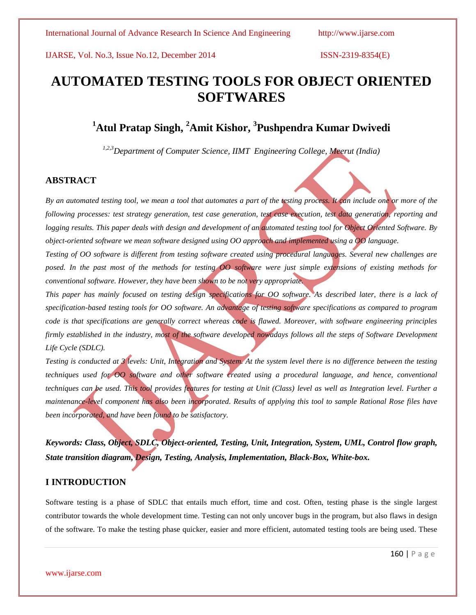# **AUTOMATED TESTING TOOLS FOR OBJECT ORIENTED SOFTWARES**

# **<sup>1</sup>Atul Pratap Singh, <sup>2</sup>Amit Kishor, <sup>3</sup> Pushpendra Kumar Dwivedi**

*1,2,3Department of Computer Science, IIMT Engineering College, Meerut (India)*

### **ABSTRACT**

*By an automated testing tool, we mean a tool that automates a part of the testing process. It can include one or more of the following processes: test strategy generation, test case generation, test case execution, test data generation, reporting and logging results. This paper deals with design and development of an automated testing tool for Object Oriented Software. By object-oriented software we mean software designed using OO approach and implemented using a OO language.*

*Testing of OO software is different from testing software created using procedural languages. Several new challenges are posed. In the past most of the methods for testing OO software were just simple extensions of existing methods for conventional software. However, they have been shown to be not very appropriate.*

*This paper has mainly focused on testing design specifications for OO software. As described later, there is a lack of specification-based testing tools for OO software. An advantage of testing software specifications as compared to program code is that specifications are generally correct whereas code is flawed. Moreover, with software engineering principles firmly established in the industry, most of the software developed nowadays follows all the steps of Software Development Life Cycle (SDLC).*

*Testing is conducted at 3 levels: Unit, Integration and System. At the system level there is no difference between the testing techniques used for OO software and other software created using a procedural language, and hence, conventional techniques can be used. This tool provides features for testing at Unit (Class) level as well as Integration level. Further a maintenance-level component has also been incorporated. Results of applying this tool to sample Rational Rose files have been incorporated, and have been found to be satisfactory.*

*Keywords: Class, Object, SDLC, Object-oriented, Testing, Unit, Integration, System, UML, Control flow graph, State transition diagram, Design, Testing, Analysis, Implementation, Black-Box, White-box.*

# **I INTRODUCTION**

Software testing is a phase of SDLC that entails much effort, time and cost. Often, testing phase is the single largest contributor towards the whole development time. Testing can not only uncover bugs in the program, but also flaws in design of the software. To make the testing phase quicker, easier and more efficient, automated testing tools are being used. These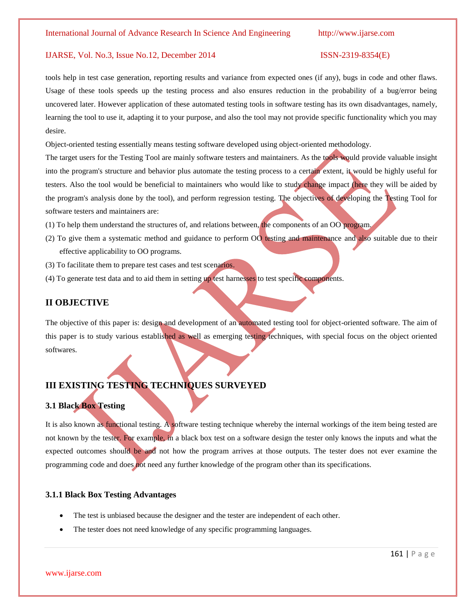#### IJARSE, Vol. No.3, Issue No.12, December 2014 ISSN-2319-8354(E)

tools help in test case generation, reporting results and variance from expected ones (if any), bugs in code and other flaws. Usage of these tools speeds up the testing process and also ensures reduction in the probability of a bug/error being uncovered later. However application of these automated testing tools in software testing has its own disadvantages, namely, learning the tool to use it, adapting it to your purpose, and also the tool may not provide specific functionality which you may desire.

Object-oriented testing essentially means testing software developed using object-oriented methodology.

The target users for the Testing Tool are mainly software testers and maintainers. As the tools would provide valuable insight into the program's structure and behavior plus automate the testing process to a certain extent, it would be highly useful for testers. Also the tool would be beneficial to maintainers who would like to study change impact (here they will be aided by the program's analysis done by the tool), and perform regression testing. The objectives of developing the Testing Tool for software testers and maintainers are:

- (1) To help them understand the structures of, and relations between, the components of an OO program.
- (2) To give them a systematic method and guidance to perform OO testing and maintenance and also suitable due to their effective applicability to OO programs.
- (3) To facilitate them to prepare test cases and test scenarios.
- (4) To generate test data and to aid them in setting up test harnesses to test specific components.

## **II OBJECTIVE**

The objective of this paper is: design and development of an automated testing tool for object-oriented software. The aim of this paper is to study various established as well as emerging testing techniques, with special focus on the object oriented softwares.

# **III EXISTING TESTING TECHNIQUES SURVEYED**

### **3.1 Black Box Testing**

It is also known as functional testing. [A software](http://www.webopedia.com/TERM/S/software.html) testing technique whereby the internal workings of the item being tested are not known by the tester. For example, in a black box test on a software design the tester only knows the inputs and what the expected outcomes should be and not how the program arrives at those outputs. The tester does not ever examine the programming [code](http://www.webopedia.com/TERM/C/code.html) and does not need any further knowledge of the program other than its specifications.

### **3.1.1 Black Box Testing Advantages**

- The test is unbiased because the designer and the tester are independent of each other.
- The tester does not need knowledge of any specific programming languages.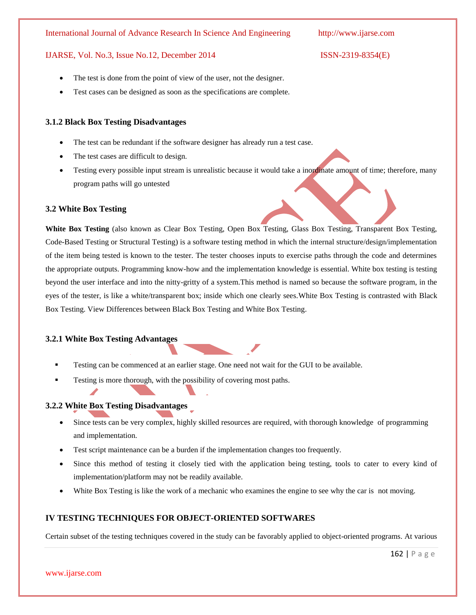#### IJARSE, Vol. No.3, Issue No.12, December 2014 ISSN-2319-8354(E)

- The test is done from the point of view of the user, not the designer.
- Test cases can be designed as soon as the specifications are complete.

#### **3.1.2 Black Box Testing Disadvantages**

- The test can be redundant if the software designer has already run a test case.
- The test cases are difficult to design.
- Testing every possible input stream is unrealistic because it would take a inordinate amount of time; therefore, many program paths will go untested

#### **3.2 White Box Testing**

**White Box Testing** (also known as Clear Box Testing, Open Box Testing, Glass Box Testing, Transparent Box Testing, Code-Based Testing or Structural Testing) is a software testing method in which the internal structure/design/implementation of the item being tested is known to the tester. The tester chooses inputs to exercise paths through the code and determines the appropriate outputs. Programming know-how and the implementation knowledge is essential. White box testing is testing beyond the user interface and into the nitty-gritty of a system.This method is named so because the software program, in the eyes of the tester, is like a white/transparent box; inside which one clearly sees.White Box Testing is contrasted with [Black](http://softwaretestingfundamentals.com/black-box-testing/)  [Box Testing.](http://softwaretestingfundamentals.com/black-box-testing/) View [Differences between Black Box Testing and White Box Testing.](http://softwaretestingfundamentals.com/differences-between-black-box-testing-and-white-box-testing/)

#### **3.2.1 White Box Testing Advantages**

- Testing can be commenced at an earlier stage. One need not wait for the GUI to be available.
- Testing is more thorough, with the possibility of covering most paths.

#### **3.2.2 White Box Testing Disadvantages**

www.ijarse.com

- Since tests can be very complex, highly skilled resources are required, with thorough knowledge of programming and implementation.
- Test script maintenance can be a burden if the implementation changes too frequently.
- Since this method of testing it closely tied with the application being testing, tools to cater to every kind of implementation/platform may not be readily available.
- White Box Testing is like the work of a mechanic who examines the engine to see why the car is not moving.

#### **IV TESTING TECHNIQUES FOR OBJECT-ORIENTED SOFTWARES**

Certain subset of the testing techniques covered in the study can be favorably applied to object-oriented programs. At various

#### 162 | P a g e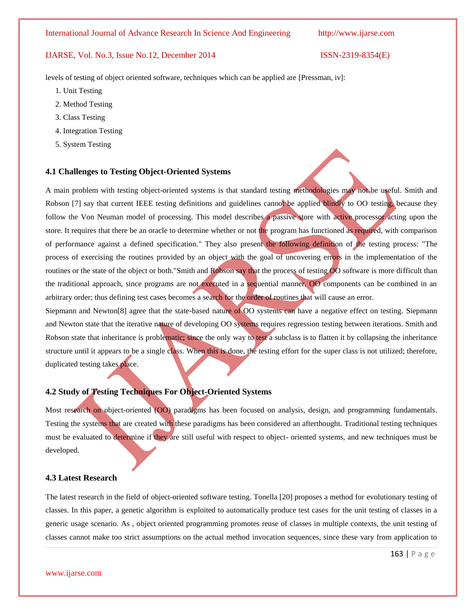levels of testing of object oriented software, techniques which can be applied are [Pressman, iv]:

- 1. Unit Testing
- 2. Method Testing
- 3. Class Testing
- 4. Integration Testing
- 5. System Testing

#### **4.1 Challenges to Testing Object-Oriented Systems**

A main problem with testing object-oriented systems is that standard testing methodologies may not be useful. Smith and Robson [7] say that current IEEE testing definitions and guidelines cannot be applied blindly to OO testing, because they follow the Von Neuman model of processing. This model describes a passive store with active processor acting upon the store. It requires that there be an oracle to determine whether or not the program has functioned as required, with comparison of performance against a defined specification." They also present the following definition of the testing process: "The process of exercising the routines provided by an object with the goal of uncovering errors in the implementation of the routines or the state of the object or both."Smith and Robson say that the process of testing OO software is more difficult than the traditional approach, since programs are not executed in a sequential manner. OO components can be combined in an arbitrary order; thus defining test cases becomes a search for the order of routines that will cause an error.

Siepmann and Newton[8] agree that the state-based nature of OO systems can have a negative effect on testing. Siepmann and Newton state that the iterative nature of developing OO systems requires regression testing between iterations. Smith and Robson state that inheritance is problematic; since the only way to test a subclass is to flatten it by collapsing the inheritance structure until it appears to be a single class. When this is done, the testing effort for the super class is not utilized; therefore, duplicated testing takes place.

### **4.2 Study of Testing Techniques For Object-Oriented Systems**

Most research on object-oriented (OO) paradigms has been focused on analysis, design, and programming fundamentals. Testing the systems that are created with these paradigms has been considered an afterthought. Traditional testing techniques must be evaluated to determine if they are still useful with respect to object- oriented systems, and new techniques must be developed.

### **4.3 Latest Research**

The latest research in the field of object-oriented software testing. Tonella [20] proposes a method for evolutionary testing of classes. In this paper, a genetic algorithm is exploited to automatically produce test cases for the unit testing of classes in a generic usage scenario. As , object oriented programming promotes reuse of classes in multiple contexts, the unit testing of classes cannot make too strict assumptions on the actual method invocation sequences, since these vary from application to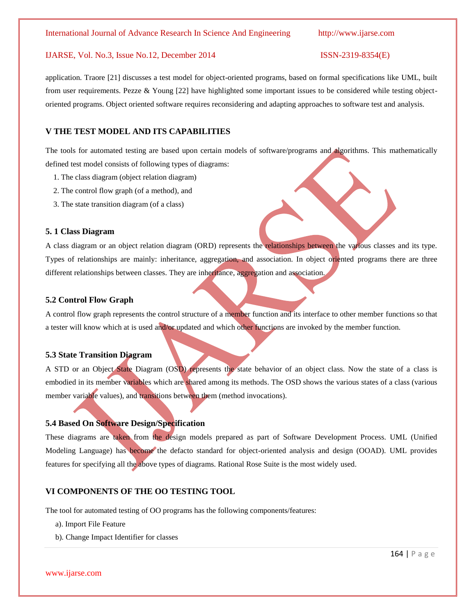application. Traore [21] discusses a test model for object-oriented programs, based on formal specifications like UML, built from user requirements. Pezze & Young [22] have highlighted some important issues to be considered while testing objectoriented programs. Object oriented software requires reconsidering and adapting approaches to software test and analysis.

### **V THE TEST MODEL AND ITS CAPABILITIES**

The tools for automated testing are based upon certain models of software/programs and algorithms. This mathematically defined test model consists of following types of diagrams:

- 1. The class diagram (object relation diagram)
- 2. The control flow graph (of a method), and
- 3. The state transition diagram (of a class)

#### **5. 1 Class Diagram**

A class diagram or an object relation diagram (ORD) represents the relationships between the various classes and its type. Types of relationships are mainly: inheritance, aggregation, and association. In object oriented programs there are three different relationships between classes. They are inheritance, aggregation and association.

### **5.2 Control Flow Graph**

A control flow graph represents the control structure of a member function and its interface to other member functions so that a tester will know which at is used and/or updated and which other functions are invoked by the member function.

### **5.3 State Transition Diagram**

A STD or an Object State Diagram (OSD) represents the state behavior of an object class. Now the state of a class is embodied in its member variables which are shared among its methods. The OSD shows the various states of a class (various member variable values), and transitions between them (method invocations).

### **5.4 Based On Software Design/Specification**

These diagrams are taken from the design models prepared as part of Software Development Process. UML (Unified Modeling Language) has become the defacto standard for object-oriented analysis and design (OOAD). UML provides features for specifying all the above types of diagrams. Rational Rose Suite is the most widely used.

# **VI COMPONENTS OF THE OO TESTING TOOL**

The tool for automated testing of OO programs has the following components/features:

- a). Import File Feature
- b). Change Impact Identifier for classes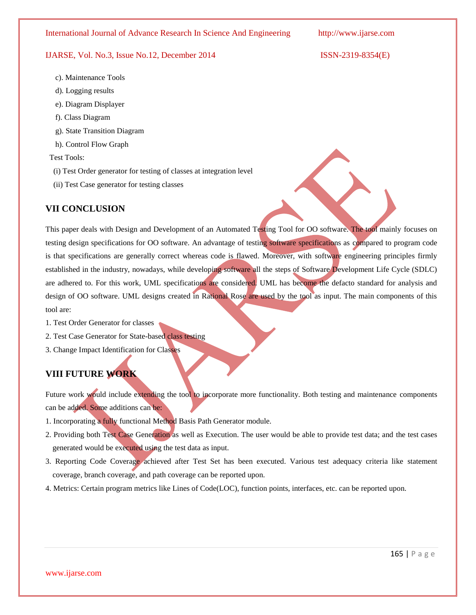#### IJARSE, Vol. No.3, Issue No.12, December 2014 ISSN-2319-8354(E)

- c). Maintenance Tools
- d). Logging results
- e). Diagram Displayer
- f). Class Diagram
- g). State Transition Diagram
- h). Control Flow Graph

Test Tools:

- (i) Test Order generator for testing of classes at integration level
- (ii) Test Case generator for testing classes

### **VII CONCLUSION**

This paper deals with Design and Development of an Automated Testing Tool for OO software. The tool mainly focuses on testing design specifications for OO software. An advantage of testing software specifications as compared to program code is that specifications are generally correct whereas code is flawed. Moreover, with software engineering principles firmly established in the industry, nowadays, while developing software all the steps of Software Development Life Cycle (SDLC) are adhered to. For this work, UML specifications are considered. UML has become the defacto standard for analysis and design of OO software. UML designs created in Rational Rose are used by the tool as input. The main components of this tool are:

- 1. Test Order Generator for classes
- 2. Test Case Generator for State-based class testing
- 3. Change Impact Identification for Classes

# **VIII FUTURE WORK**

www.ijarse.com

Future work would include extending the tool to incorporate more functionality. Both testing and maintenance components can be added. Some additions can be:

- 1. Incorporating a fully functional Method Basis Path Generator module.
- 2. Providing both Test Case Generation as well as Execution. The user would be able to provide test data; and the test cases generated would be executed using the test data as input.
- 3. Reporting Code Coverage achieved after Test Set has been executed. Various test adequacy criteria like statement coverage, branch coverage, and path coverage can be reported upon.
- 4. Metrics: Certain program metrics like Lines of Code(LOC), function points, interfaces, etc. can be reported upon.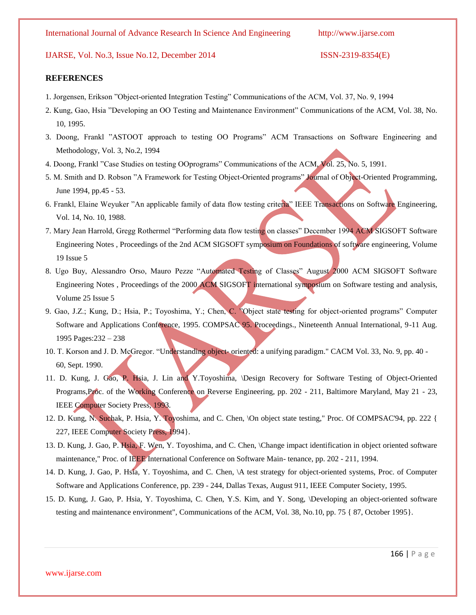#### **REFERENCES**

- 1. Jorgensen, Erikson "Object-oriented Integration Testing" Communications of the ACM, Vol. 37, No. 9, 1994
- 2. Kung, Gao, Hsia "Developing an OO Testing and Maintenance Environment" Communications of the ACM, Vol. 38, No. 10, 1995.
- 3. Doong, Frankl "ASTOOT approach to testing OO Programs" ACM Transactions on Software Engineering and Methodology, Vol. 3, No.2, 1994
- 4. Doong, Frankl "Case Studies on testing OOprograms" Communications of the ACM, Vol. 25, No. 5, 1991.
- 5. M. Smith and D. Robson "A Framework for Testing Object-Oriented programs" Journal of Object-Oriented Programming, June 1994, pp.45 - 53.
- 6. Frankl, Elaine Weyuker "An applicable family of data flow testing criteria" IEEE Transactions on Software Engineering, Vol. 14, No. 10, 1988.
- 7. Mary Jean Harrold, Gregg Rothermel "Performing data flow testing on classes" December 1994 ACM SIGSOFT Software Engineering Notes , Proceedings of the 2nd ACM SIGSOFT symposium on Foundations of software engineering, Volume 19 Issue 5
- 8. Ugo Buy, Alessandro Orso, Mauro Pezze "Automated Testing of Classes" August 2000 ACM SIGSOFT Software Engineering Notes, Proceedings of the 2000 ACM SIGSOFT international symposium on Software testing and analysis, Volume 25 Issue 5
- 9. Gao, J.Z.; Kung, D.; Hsia, P.; Toyoshima, Y.; Chen, C. "Object state testing for object-oriented programs" Computer Software and Applications Conference, 1995. COMPSAC 95. Proceedings., Nineteenth Annual International, 9-11 Aug. 1995 Pages:232 – 238
- 10. T. Korson and J. D. McGregor. "Understanding object- oriented: a unifying paradigm." CACM Vol. 33, No. 9, pp. 40 60, Sept. 1990.
- 11. D. Kung, J. Gao, P. Hsia, J. Lin and Y.Toyoshima, \Design Recovery for Software Testing of Object-Oriented Programs,Proc. of the Working Conference on Reverse Engineering, pp. 202 - 211, Baltimore Maryland, May 21 - 23, IEEE Computer Society Press, 1993.
- 12. D. Kung, N. Suchak, P. Hsia, Y. Toyoshima, and C. Chen, \On object state testing," Proc. Of COMPSAC'94, pp. 222 { 227, IEEE Computer Society Press, 1994}.
- 13. D. Kung, J. Gao, P. Hsia, F. Wen, Y. Toyoshima, and C. Chen, \Change impact identification in object oriented software maintenance," Proc. of IEEE International Conference on Software Main- tenance, pp. 202 - 211, 1994.
- 14. D. Kung, J. Gao, P. Hsia, Y. Toyoshima, and C. Chen, \A test strategy for object-oriented systems, Proc. of Computer Software and Applications Conference, pp. 239 - 244, Dallas Texas, August 911, IEEE Computer Society, 1995.
- 15. D. Kung, J. Gao, P. Hsia, Y. Toyoshima, C. Chen, Y.S. Kim, and Y. Song, \Developing an object-oriented software testing and maintenance environment", Communications of the ACM, Vol. 38, No.10, pp. 75 { 87, October 1995}.